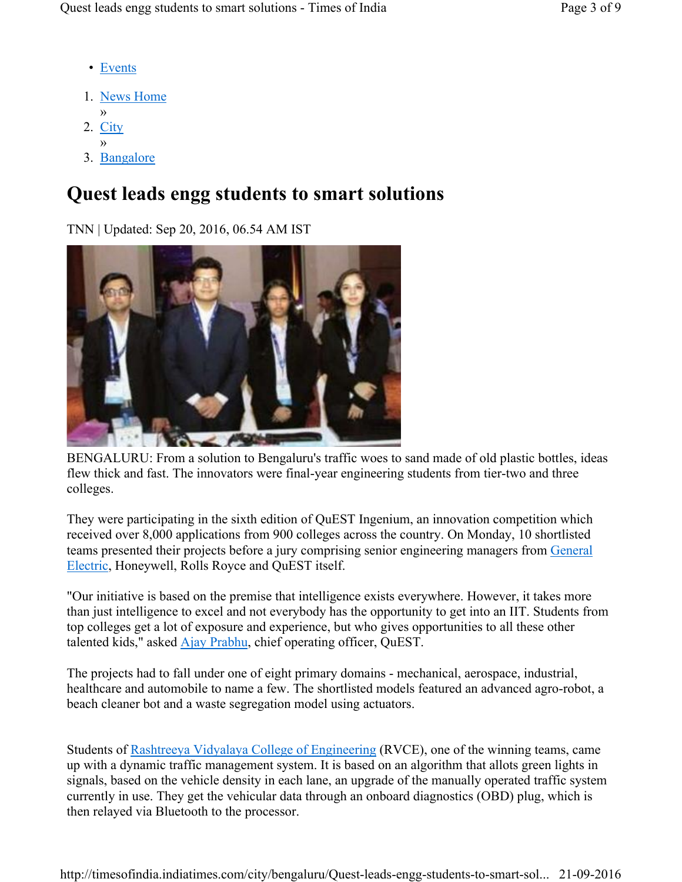- Events
- 1. News Home »
- 2. City
- » 3. Bangalore

# Quest leads engg students to smart solutions

TNN | Updated: Sep 20, 2016, 06.54 AM IST



BENGALURU: From a solution to Bengaluru's traffic woes to sand made of old plastic bottles, ideas flew thick and fast. The innovators were final-year engineering students from tier-two and three colleges.

They were participating in the sixth edition of QuEST Ingenium, an innovation competition which received over 8,000 applications from 900 colleges across the country. On Monday, 10 shortlisted teams presented their projects before a jury comprising senior engineering managers from General Electric, Honeywell, Rolls Royce and QuEST itself.

"Our initiative is based on the premise that intelligence exists everywhere. However, it takes more than just intelligence to excel and not everybody has the opportunity to get into an IIT. Students from top colleges get a lot of exposure and experience, but who gives opportunities to all these other talented kids," asked **Ajay Prabhu**, chief operating officer, QuEST.

The projects had to fall under one of eight primary domains - mechanical, aerospace, industrial, healthcare and automobile to name a few. The shortlisted models featured an advanced agro-robot, a beach cleaner bot and a waste segregation model using actuators.

Students of Rashtreeya Vidyalaya College of Engineering (RVCE), one of the winning teams, came up with a dynamic traffic management system. It is based on an algorithm that allots green lights in signals, based on the vehicle density in each lane, an upgrade of the manually operated traffic system currently in use. They get the vehicular data through an onboard diagnostics (OBD) plug, which is then relayed via Bluetooth to the processor.